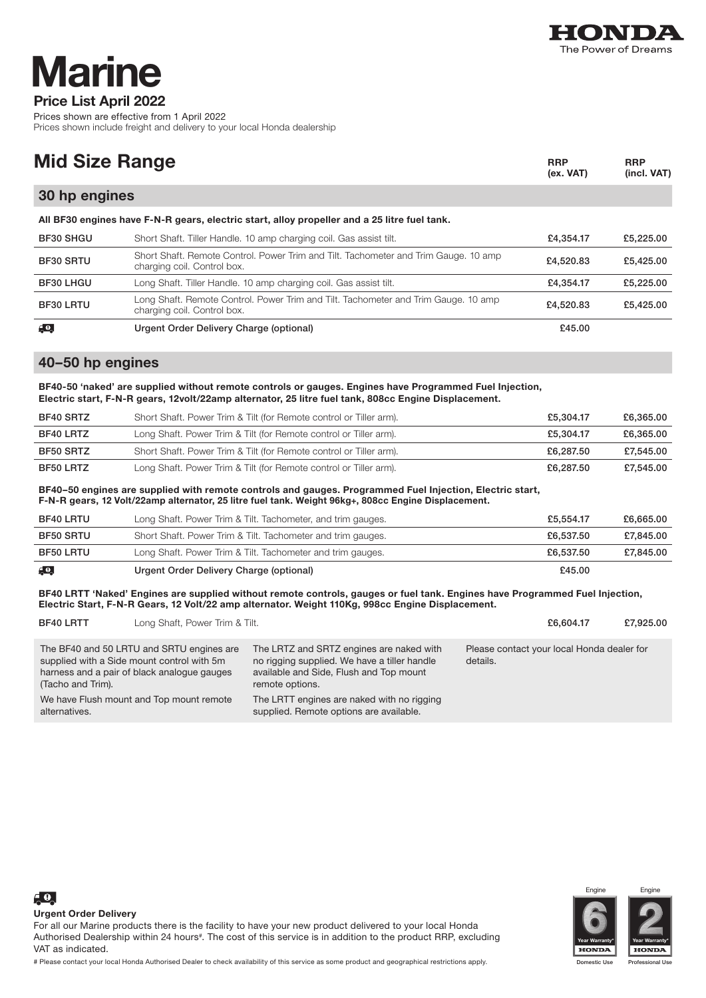

## Price List April 2022 larine

Prices shown are effective from 1 April 2022 Prices shown include freight and delivery to your local Honda dealership

| <b>Mid Size Range</b>                                                                        | <b>RRP</b><br>$(ex. VAT)$                                                                                          | <b>RRP</b><br>(incl. VAT) |           |  |  |
|----------------------------------------------------------------------------------------------|--------------------------------------------------------------------------------------------------------------------|---------------------------|-----------|--|--|
| 30 hp engines                                                                                |                                                                                                                    |                           |           |  |  |
| All BF30 engines have F-N-R gears, electric start, alloy propeller and a 25 litre fuel tank. |                                                                                                                    |                           |           |  |  |
| BF30 SHGU                                                                                    | Short Shaft. Tiller Handle. 10 amp charging coil. Gas assist tilt.                                                 | £4,354.17                 | £5,225.00 |  |  |
| BF30 SRTU                                                                                    | Short Shaft. Remote Control. Power Trim and Tilt. Tachometer and Trim Gauge. 10 amp<br>charging coil. Control box. | £4,520.83                 | £5,425.00 |  |  |
| <b>BF30 LHGU</b>                                                                             | Long Shaft. Tiller Handle. 10 amp charging coil. Gas assist tilt.                                                  | £4,354.17                 | £5,225.00 |  |  |
| BF30 LRTU                                                                                    | Long Shaft. Remote Control. Power Trim and Tilt. Tachometer and Trim Gauge. 10 amp<br>charging coil. Control box.  | £4,520,83                 | £5,425.00 |  |  |
| F.O.                                                                                         | Urgent Order Delivery Charge (optional)                                                                            | £45.00                    |           |  |  |

## 40–50 hp engines

BF40-50 'naked' are supplied without remote controls or gauges. Engines have Programmed Fuel Injection, Electric start, F-N-R gears, 12volt/22amp alternator, 25 litre fuel tank, 808cc Engine Displacement.

| BF40 SRTZ | Short Shaft. Power Trim & Tilt (for Remote control or Tiller arm). | £5.304.17 | £6,365,00 |
|-----------|--------------------------------------------------------------------|-----------|-----------|
| BF40 LRTZ | Long Shaft. Power Trim & Tilt (for Remote control or Tiller arm).  | £5.304.17 | £6,365,00 |
| BF50 SRTZ | Short Shaft. Power Trim & Tilt (for Remote control or Tiller arm). | £6.287.50 | £7.545.00 |
| BF50 LRTZ | Long Shaft. Power Trim & Tilt (for Remote control or Tiller arm).  | £6,287.50 | £7.545.00 |

BF40–50 engines are supplied with remote controls and gauges. Programmed Fuel Injection, Electric start, F-N-R gears, 12 Volt/22amp alternator, 25 litre fuel tank. Weight 96kg+, 808cc Engine Displacement.

| BF40 LRTU               | Long Shaft. Power Trim & Tilt. Tachometer, and trim gauges. | £5.554.17 | £6,665,00 |
|-------------------------|-------------------------------------------------------------|-----------|-----------|
| <b>BF50 SRTU</b>        | Short Shaft. Power Trim & Tilt. Tachometer and trim gauges. | £6,537,50 | £7,845.00 |
| <b>BF50 LRTU</b>        | Long Shaft. Power Trim & Tilt. Tachometer and trim gauges.  | £6,537,50 | £7,845.00 |
| $\epsilon$ <sup>o</sup> | Urgent Order Delivery Charge (optional)                     | £45.00    |           |

BF40 LRTT 'Naked' Engines are supplied without remote controls, gauges or fuel tank. Engines have Programmed Fuel Injection, Electric Start, F-N-R Gears, 12 Volt/22 amp alternator. Weight 110Kg, 998cc Engine Displacement.

| <b>BF40 LRTT</b>  | Long Shaft, Power Trim & Tilt.                                                                                                         |                                                                                                                                                        | £6,604.17                                              | £7,925,00 |
|-------------------|----------------------------------------------------------------------------------------------------------------------------------------|--------------------------------------------------------------------------------------------------------------------------------------------------------|--------------------------------------------------------|-----------|
| (Tacho and Trim). | The BF40 and 50 LRTU and SRTU engines are<br>supplied with a Side mount control with 5m<br>harness and a pair of black analogue gauges | The LRTZ and SRTZ engines are naked with<br>no rigging supplied. We have a tiller handle<br>available and Side, Flush and Top mount<br>remote options. | Please contact your local Honda dealer for<br>details. |           |
| alternatives.     | We have Flush mount and Top mount remote                                                                                               | The LRTT engines are naked with no rigging<br>supplied. Remote options are available.                                                                  |                                                        |           |



Engi



 $\epsilon$ <sup>0</sup>

For all our Marine products there is the facility to have your new product delivered to your local Honda Authorised Dealership within 24 hours#. The cost of this service is in addition to the product RRP, excluding VAT as indicated.

# Please contact your local Honda Authorised Dealer to check availability of this service as some product and geographical restrictions apply.

ic Use